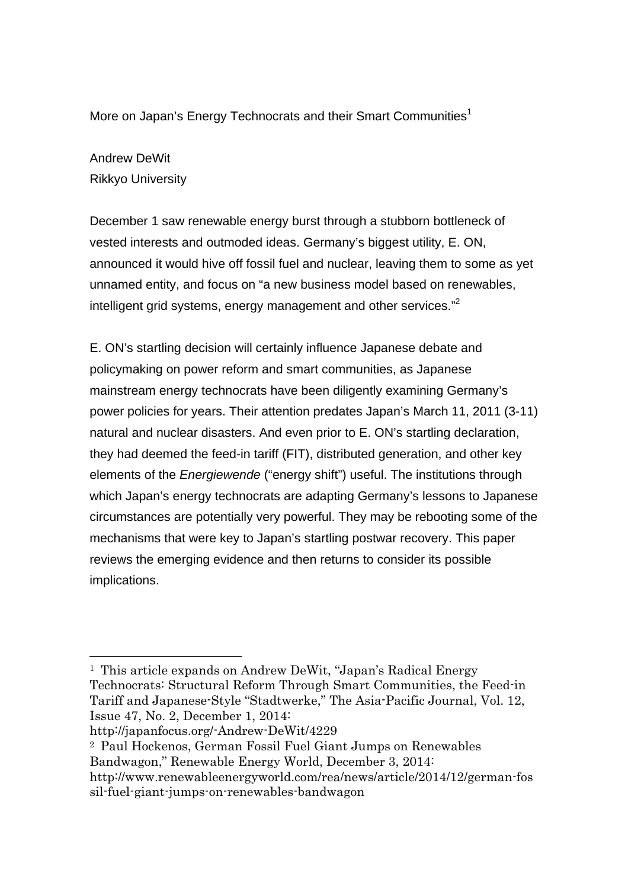More on Japan's Energy Technocrats and their Smart Communities<sup>1</sup>

## Andrew DeWit Rikkyo University

December 1 saw renewable energy burst through a stubborn bottleneck of vested interests and outmoded ideas. Germany's biggest utility, E. ON, announced it would hive off fossil fuel and nuclear, leaving them to some as yet unnamed entity, and focus on "a new business model based on renewables, intelligent grid systems, energy management and other services."<sup>2</sup>

E. ON's startling decision will certainly influence Japanese debate and policymaking on power reform and smart communities, as Japanese mainstream energy technocrats have been diligently examining Germany's power policies for years. Their attention predates Japan's March 11, 2011 (3-11) natural and nuclear disasters. And even prior to E. ON's startling declaration, they had deemed the feed-in tariff (FIT), distributed generation, and other key elements of the *Energiewende* ("energy shift") useful. The institutions through which Japan's energy technocrats are adapting Germany's lessons to Japanese circumstances are potentially very powerful. They may be rebooting some of the mechanisms that were key to Japan's startling postwar recovery. This paper reviews the emerging evidence and then returns to consider its possible implications.

 <sup>1</sup> This article expands on Andrew DeWit, "Japan's Radical Energy Technocrats: Structural Reform Through Smart Communities, the Feed-in Tariff and Japanese-Style "Stadtwerke," The Asia-Pacific Journal, Vol. 12, Issue 47, No. 2, December 1, 2014:

http://japanfocus.org/-Andrew-DeWit/4229

<sup>2</sup> Paul Hockenos, German Fossil Fuel Giant Jumps on Renewables Bandwagon," Renewable Energy World, December 3, 2014: http://www.renewableenergyworld.com/rea/news/article/2014/12/german-fos sil-fuel-giant-jumps-on-renewables-bandwagon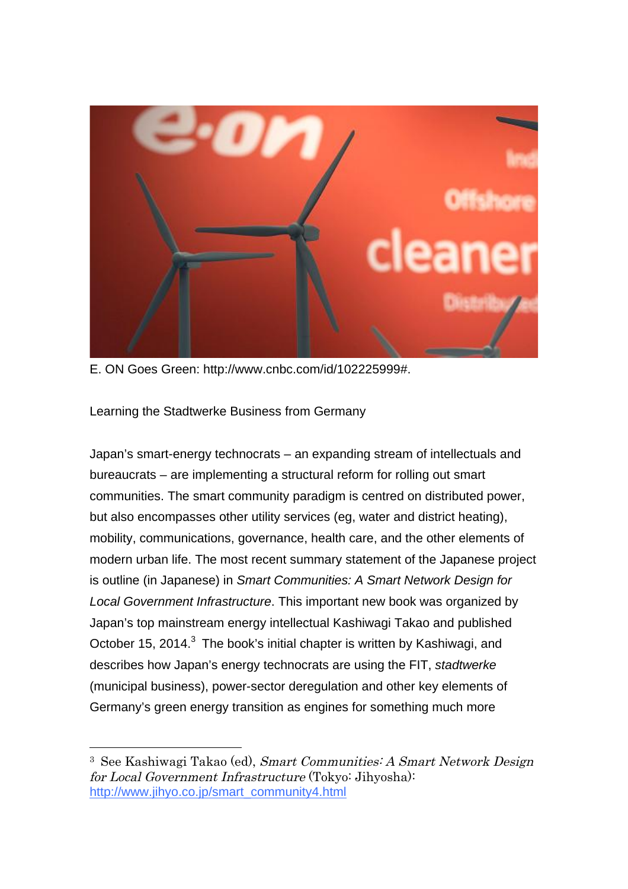

E. ON Goes Green: http://www.cnbc.com/id/102225999#.

Learning the Stadtwerke Business from Germany

Japan's smart-energy technocrats – an expanding stream of intellectuals and bureaucrats – are implementing a structural reform for rolling out smart communities. The smart community paradigm is centred on distributed power, but also encompasses other utility services (eg, water and district heating), mobility, communications, governance, health care, and the other elements of modern urban life. The most recent summary statement of the Japanese project is outline (in Japanese) in *Smart Communities: A Smart Network Design for Local Government Infrastructure*. This important new book was organized by Japan's top mainstream energy intellectual Kashiwagi Takao and published October 15, 2014.<sup>3</sup> The book's initial chapter is written by Kashiwagi, and describes how Japan's energy technocrats are using the FIT, *stadtwerke* (municipal business), power-sector deregulation and other key elements of Germany's green energy transition as engines for something much more

 <sup>3</sup> See Kashiwagi Takao (ed), Smart Communities: A Smart Network Design for Local Government Infrastructure (Tokyo: Jihyosha): http://www.jihyo.co.jp/smart\_community4.html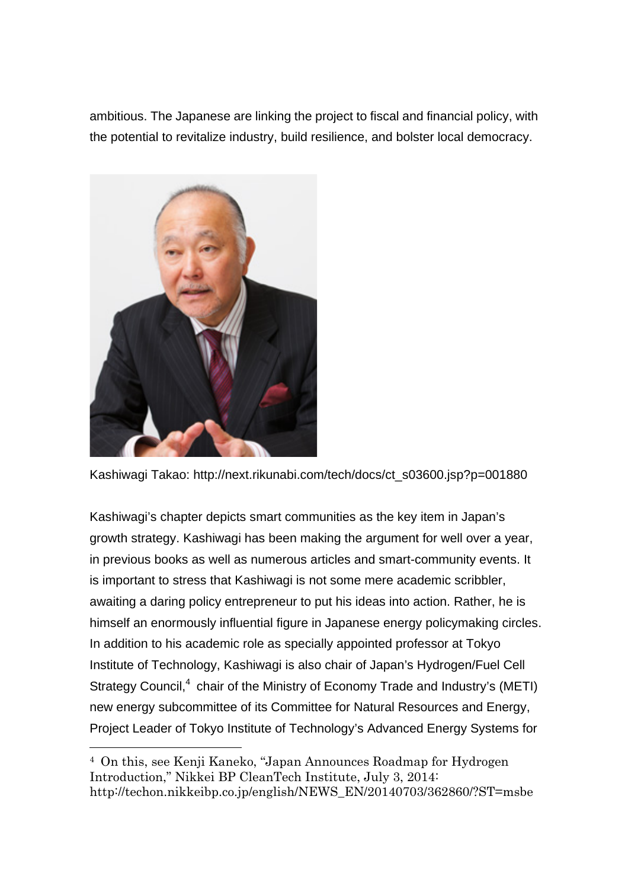ambitious. The Japanese are linking the project to fiscal and financial policy, with the potential to revitalize industry, build resilience, and bolster local democracy.



Kashiwagi Takao: http://next.rikunabi.com/tech/docs/ct\_s03600.jsp?p=001880

Kashiwagi's chapter depicts smart communities as the key item in Japan's growth strategy. Kashiwagi has been making the argument for well over a year, in previous books as well as numerous articles and smart-community events. It is important to stress that Kashiwagi is not some mere academic scribbler, awaiting a daring policy entrepreneur to put his ideas into action. Rather, he is himself an enormously influential figure in Japanese energy policymaking circles. In addition to his academic role as specially appointed professor at Tokyo Institute of Technology, Kashiwagi is also chair of Japan's Hydrogen/Fuel Cell Strategy Council, $4$  chair of the Ministry of Economy Trade and Industry's (METI) new energy subcommittee of its Committee for Natural Resources and Energy, Project Leader of Tokyo Institute of Technology's Advanced Energy Systems for

 <sup>4</sup> On this, see Kenji Kaneko, "Japan Announces Roadmap for Hydrogen Introduction," Nikkei BP CleanTech Institute, July 3, 2014: http://techon.nikkeibp.co.jp/english/NEWS\_EN/20140703/362860/?ST=msbe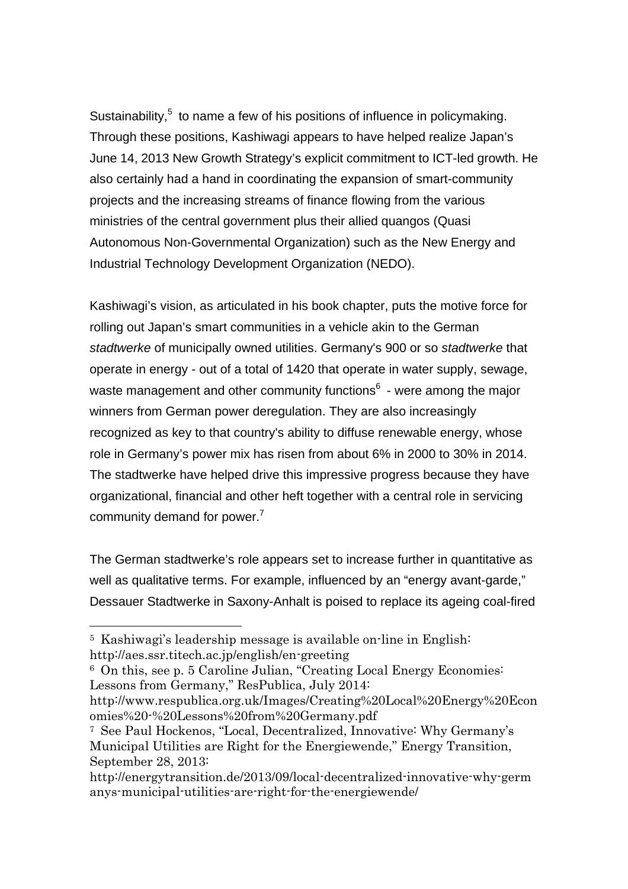Sustainability,  $5$  to name a few of his positions of influence in policymaking. Through these positions, Kashiwagi appears to have helped realize Japan's June 14, 2013 New Growth Strategy's explicit commitment to ICT-led growth. He also certainly had a hand in coordinating the expansion of smart-community projects and the increasing streams of finance flowing from the various ministries of the central government plus their allied quangos (Quasi Autonomous Non-Governmental Organization) such as the New Energy and Industrial Technology Development Organization (NEDO).

Kashiwagi's vision, as articulated in his book chapter, puts the motive force for rolling out Japan's smart communities in a vehicle akin to the German *stadtwerke* of municipally owned utilities. Germany's 900 or so *stadtwerke* that operate in energy - out of a total of 1420 that operate in water supply, sewage, waste management and other community functions $6$  - were among the major winners from German power deregulation. They are also increasingly recognized as key to that country's ability to diffuse renewable energy, whose role in Germany's power mix has risen from about 6% in 2000 to 30% in 2014. The stadtwerke have helped drive this impressive progress because they have organizational, financial and other heft together with a central role in servicing community demand for power. $<sup>7</sup>$ </sup>

The German stadtwerke's role appears set to increase further in quantitative as well as qualitative terms. For example, influenced by an "energy avant-garde," Dessauer Stadtwerke in Saxony-Anhalt is poised to replace its ageing coal-fired

 <sup>5</sup> Kashiwagi's leadership message is available on-line in English: http://aes.ssr.titech.ac.jp/english/en-greeting

<sup>6</sup> On this, see p. 5 Caroline Julian, "Creating Local Energy Economies: Lessons from Germany," ResPublica, July 2014:

http://www.respublica.org.uk/Images/Creating%20Local%20Energy%20Econ omies%20-%20Lessons%20from%20Germany.pdf

<sup>7</sup> See Paul Hockenos, "Local, Decentralized, Innovative: Why Germany's Municipal Utilities are Right for the Energiewende," Energy Transition, September 28, 2013:

http://energytransition.de/2013/09/local-decentralized-innovative-why-germ anys-municipal-utilities-are-right-for-the-energiewende/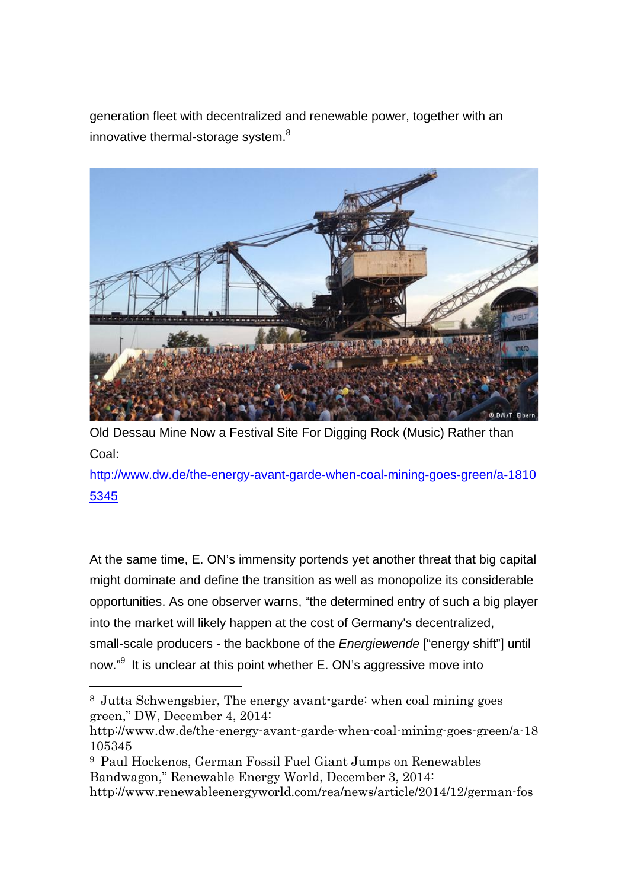generation fleet with decentralized and renewable power, together with an innovative thermal-storage system.<sup>8</sup>



Old Dessau Mine Now a Festival Site For Digging Rock (Music) Rather than Coal:

http://www.dw.de/the-energy-avant-garde-when-coal-mining-goes-green/a-1810 5345

At the same time, E. ON's immensity portends yet another threat that big capital might dominate and define the transition as well as monopolize its considerable opportunities. As one observer warns, "the determined entry of such a big player into the market will likely happen at the cost of Germany's decentralized, small-scale producers - the backbone of the *Energiewende* ["energy shift"] until now."<sup>9</sup> It is unclear at this point whether E. ON's aggressive move into

 <sup>8</sup> Jutta Schwengsbier, The energy avant-garde: when coal mining goes green," DW, December 4, 2014:

http://www.dw.de/the-energy-avant-garde-when-coal-mining-goes-green/a-18 105345

<sup>9</sup> Paul Hockenos, German Fossil Fuel Giant Jumps on Renewables Bandwagon," Renewable Energy World, December 3, 2014: http://www.renewableenergyworld.com/rea/news/article/2014/12/german-fos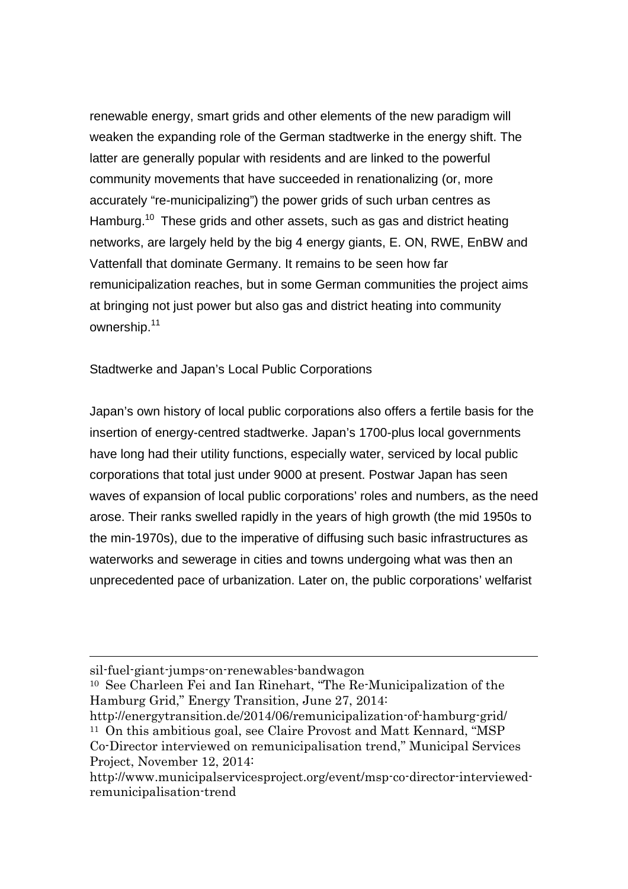renewable energy, smart grids and other elements of the new paradigm will weaken the expanding role of the German stadtwerke in the energy shift. The latter are generally popular with residents and are linked to the powerful community movements that have succeeded in renationalizing (or, more accurately "re-municipalizing") the power grids of such urban centres as Hamburg.<sup>10</sup> These grids and other assets, such as gas and district heating networks, are largely held by the big 4 energy giants, E. ON, RWE, EnBW and Vattenfall that dominate Germany. It remains to be seen how far remunicipalization reaches, but in some German communities the project aims at bringing not just power but also gas and district heating into community ownership.<sup>11</sup>

Stadtwerke and Japan's Local Public Corporations

Japan's own history of local public corporations also offers a fertile basis for the insertion of energy-centred stadtwerke. Japan's 1700-plus local governments have long had their utility functions, especially water, serviced by local public corporations that total just under 9000 at present. Postwar Japan has seen waves of expansion of local public corporations' roles and numbers, as the need arose. Their ranks swelled rapidly in the years of high growth (the mid 1950s to the min-1970s), due to the imperative of diffusing such basic infrastructures as waterworks and sewerage in cities and towns undergoing what was then an unprecedented pace of urbanization. Later on, the public corporations' welfarist

l

sil-fuel-giant-jumps-on-renewables-bandwagon

<sup>10</sup> See Charleen Fei and Ian Rinehart, "The Re-Municipalization of the Hamburg Grid," Energy Transition, June 27, 2014:

http://energytransition.de/2014/06/remunicipalization-of-hamburg-grid/ <sup>11</sup> On this ambitious goal, see Claire Provost and Matt Kennard, "MSP

Co-Director interviewed on remunicipalisation trend," Municipal Services Project, November 12, 2014:

http://www.municipalservicesproject.org/event/msp-co-director-interviewedremunicipalisation-trend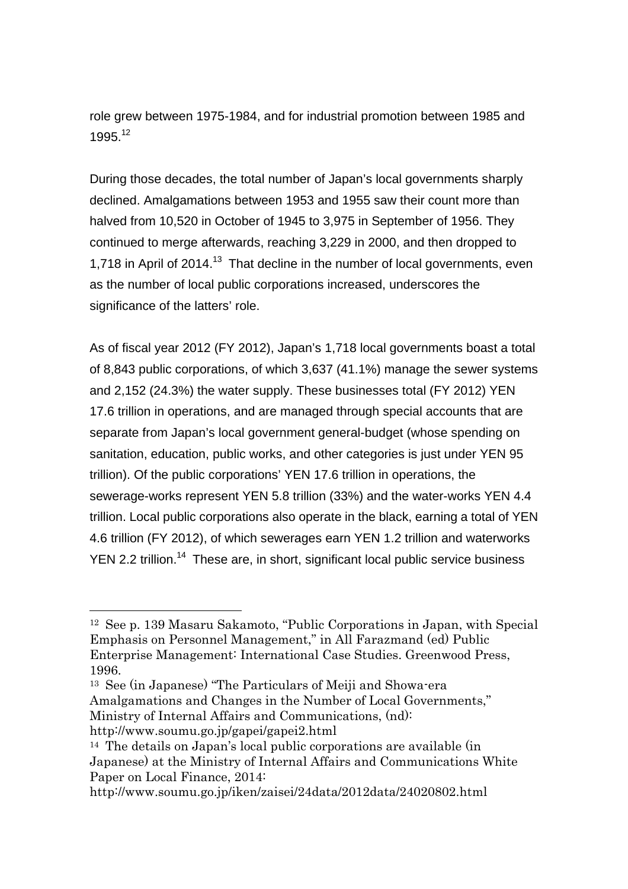role grew between 1975-1984, and for industrial promotion between 1985 and 1995<sup>12</sup>

During those decades, the total number of Japan's local governments sharply declined. Amalgamations between 1953 and 1955 saw their count more than halved from 10,520 in October of 1945 to 3,975 in September of 1956. They continued to merge afterwards, reaching 3,229 in 2000, and then dropped to 1,718 in April of 2014.<sup>13</sup> That decline in the number of local governments, even as the number of local public corporations increased, underscores the significance of the latters' role.

As of fiscal year 2012 (FY 2012), Japan's 1,718 local governments boast a total of 8,843 public corporations, of which 3,637 (41.1%) manage the sewer systems and 2,152 (24.3%) the water supply. These businesses total (FY 2012) YEN 17.6 trillion in operations, and are managed through special accounts that are separate from Japan's local government general-budget (whose spending on sanitation, education, public works, and other categories is just under YEN 95 trillion). Of the public corporations' YEN 17.6 trillion in operations, the sewerage-works represent YEN 5.8 trillion (33%) and the water-works YEN 4.4 trillion. Local public corporations also operate in the black, earning a total of YEN 4.6 trillion (FY 2012), of which sewerages earn YEN 1.2 trillion and waterworks YEN 2.2 trillion.<sup>14</sup> These are, in short, significant local public service business

<sup>13</sup> See (in Japanese) "The Particulars of Meiji and Showa-era Amalgamations and Changes in the Number of Local Governments," Ministry of Internal Affairs and Communications, (nd): http://www.soumu.go.jp/gapei/gapei2.html

<sup>14</sup> The details on Japan's local public corporations are available (in

http://www.soumu.go.jp/iken/zaisei/24data/2012data/24020802.html

 <sup>12</sup> See p. 139 Masaru Sakamoto, "Public Corporations in Japan, with Special Emphasis on Personnel Management," in All Farazmand (ed) Public Enterprise Management: International Case Studies. Greenwood Press, 1996.

Japanese) at the Ministry of Internal Affairs and Communications White Paper on Local Finance, 2014: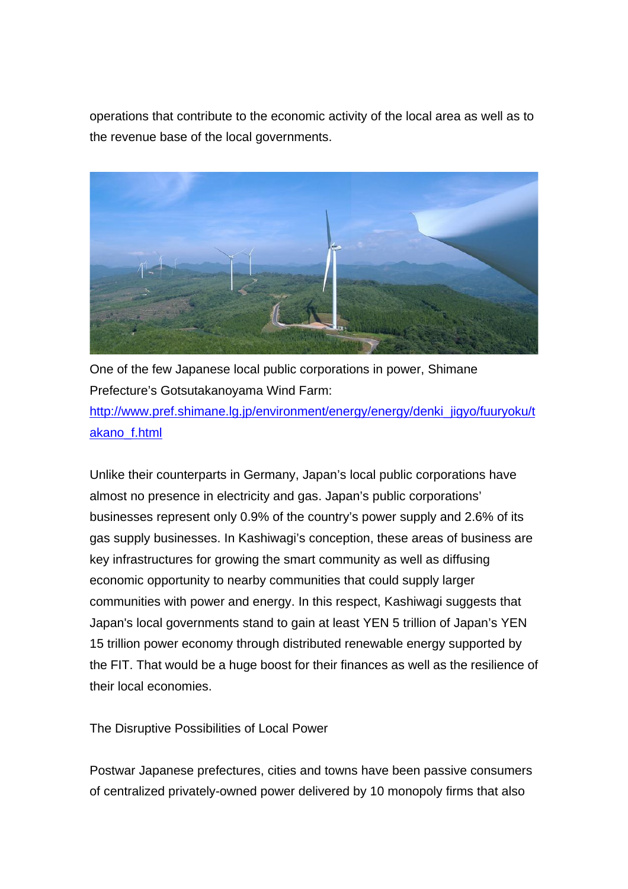operations that contribute to the economic activity of the local area as well as to the revenue base of the local governments.



One of the few Japanese local public corporations in power, Shimane Prefecture's Gotsutakanoyama Wind Farm:

http://www.pref.shimane.lg.jp/environment/energy/energy/denki\_jigyo/fuuryoku/t akano\_f.html

Unlike their counterparts in Germany, Japan's local public corporations have almost no presence in electricity and gas. Japan's public corporations' businesses represent only 0.9% of the country's power supply and 2.6% of its gas supply businesses. In Kashiwagi's conception, these areas of business are key infrastructures for growing the smart community as well as diffusing economic opportunity to nearby communities that could supply larger communities with power and energy. In this respect, Kashiwagi suggests that Japan's local governments stand to gain at least YEN 5 trillion of Japan's YEN 15 trillion power economy through distributed renewable energy supported by the FIT. That would be a huge boost for their finances as well as the resilience of their local economies.

The Disruptive Possibilities of Local Power

Postwar Japanese prefectures, cities and towns have been passive consumers of centralized privately-owned power delivered by 10 monopoly firms that also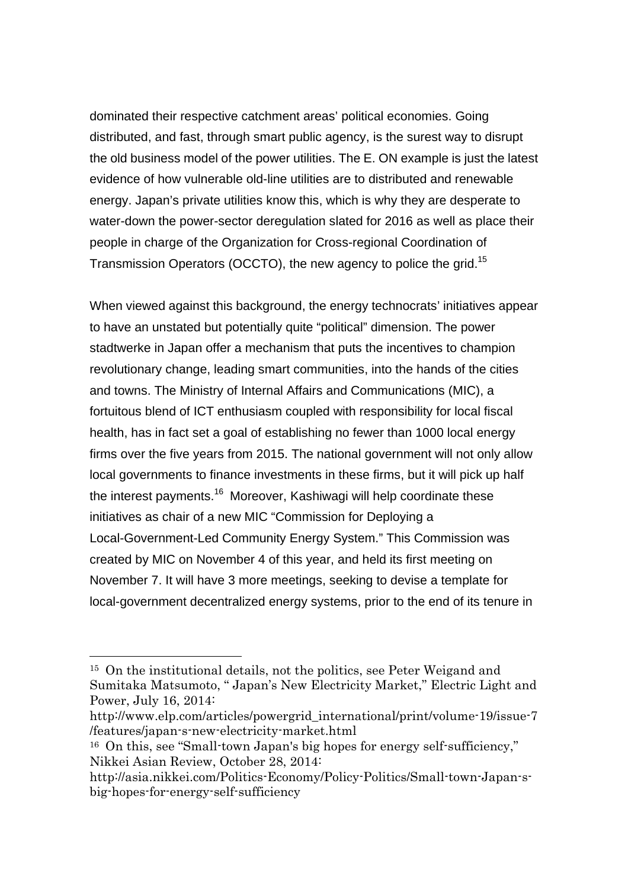dominated their respective catchment areas' political economies. Going distributed, and fast, through smart public agency, is the surest way to disrupt the old business model of the power utilities. The E. ON example is just the latest evidence of how vulnerable old-line utilities are to distributed and renewable energy. Japan's private utilities know this, which is why they are desperate to water-down the power-sector deregulation slated for 2016 as well as place their people in charge of the Organization for Cross-regional Coordination of Transmission Operators (OCCTO), the new agency to police the grid.15

When viewed against this background, the energy technocrats' initiatives appear to have an unstated but potentially quite "political" dimension. The power stadtwerke in Japan offer a mechanism that puts the incentives to champion revolutionary change, leading smart communities, into the hands of the cities and towns. The Ministry of Internal Affairs and Communications (MIC), a fortuitous blend of ICT enthusiasm coupled with responsibility for local fiscal health, has in fact set a goal of establishing no fewer than 1000 local energy firms over the five years from 2015. The national government will not only allow local governments to finance investments in these firms, but it will pick up half the interest payments.<sup>16</sup> Moreover, Kashiwagi will help coordinate these initiatives as chair of a new MIC "Commission for Deploying a Local-Government-Led Community Energy System." This Commission was created by MIC on November 4 of this year, and held its first meeting on November 7. It will have 3 more meetings, seeking to devise a template for local-government decentralized energy systems, prior to the end of its tenure in

 <sup>15</sup> On the institutional details, not the politics, see Peter Weigand and Sumitaka Matsumoto, " Japan's New Electricity Market," Electric Light and Power, July 16, 2014:

http://www.elp.com/articles/powergrid\_international/print/volume-19/issue-7 /features/japan-s-new-electricity-market.html

<sup>16</sup> On this, see "Small-town Japan's big hopes for energy self-sufficiency," Nikkei Asian Review, October 28, 2014:

http://asia.nikkei.com/Politics-Economy/Policy-Politics/Small-town-Japan-sbig-hopes-for-energy-self-sufficiency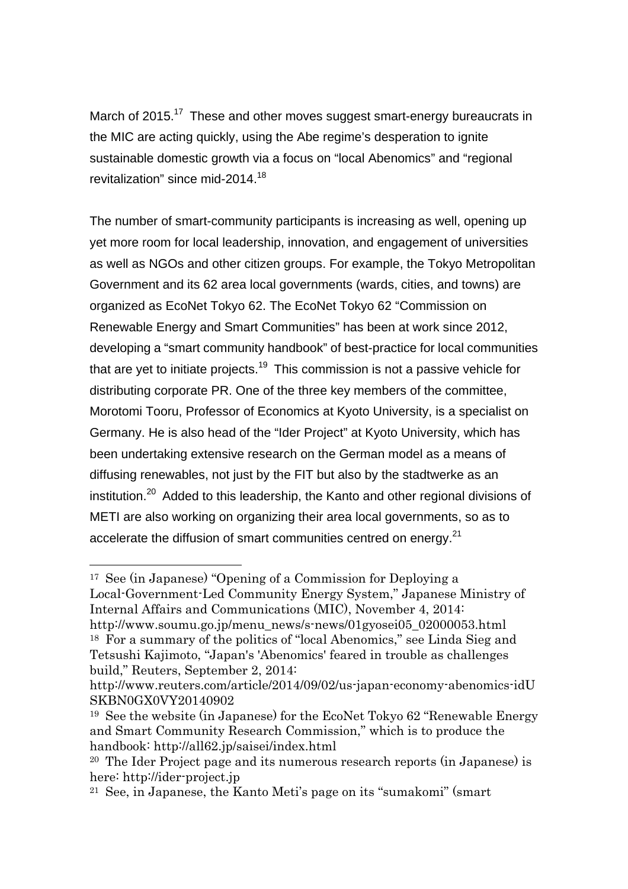March of 2015.<sup>17</sup> These and other moves suggest smart-energy bureaucrats in the MIC are acting quickly, using the Abe regime's desperation to ignite sustainable domestic growth via a focus on "local Abenomics" and "regional revitalization" since mid-2014.<sup>18</sup>

The number of smart-community participants is increasing as well, opening up yet more room for local leadership, innovation, and engagement of universities as well as NGOs and other citizen groups. For example, the Tokyo Metropolitan Government and its 62 area local governments (wards, cities, and towns) are organized as EcoNet Tokyo 62. The EcoNet Tokyo 62 "Commission on Renewable Energy and Smart Communities" has been at work since 2012, developing a "smart community handbook" of best-practice for local communities that are yet to initiate projects.<sup>19</sup> This commission is not a passive vehicle for distributing corporate PR. One of the three key members of the committee, Morotomi Tooru, Professor of Economics at Kyoto University, is a specialist on Germany. He is also head of the "Ider Project" at Kyoto University, which has been undertaking extensive research on the German model as a means of diffusing renewables, not just by the FIT but also by the stadtwerke as an institution.<sup>20</sup> Added to this leadership, the Kanto and other regional divisions of METI are also working on organizing their area local governments, so as to accelerate the diffusion of smart communities centred on energy.<sup>21</sup>

 <sup>17</sup> See (in Japanese) "Opening of a Commission for Deploying a Local-Government-Led Community Energy System," Japanese Ministry of Internal Affairs and Communications (MIC), November 4, 2014: http://www.soumu.go.jp/menu\_news/s-news/01gyosei05\_02000053.html <sup>18</sup> For a summary of the politics of "local Abenomics," see Linda Sieg and Tetsushi Kajimoto, "Japan's 'Abenomics' feared in trouble as challenges build," Reuters, September 2, 2014:

http://www.reuters.com/article/2014/09/02/us-japan-economy-abenomics-idU SKBN0GX0VY20140902

<sup>19</sup> See the website (in Japanese) for the EcoNet Tokyo 62 "Renewable Energy and Smart Community Research Commission," which is to produce the handbook: http://all62.jp/saisei/index.html

<sup>20</sup> The Ider Project page and its numerous research reports (in Japanese) is here: http://ider-project.jp

<sup>21</sup> See, in Japanese, the Kanto Meti's page on its "sumakomi" (smart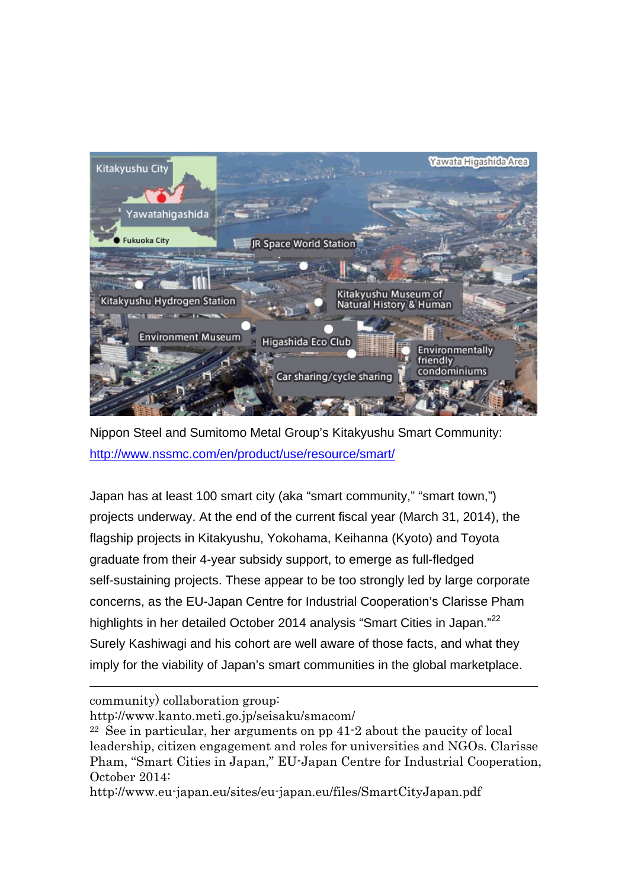

Nippon Steel and Sumitomo Metal Group's Kitakyushu Smart Community: http://www.nssmc.com/en/product/use/resource/smart/

Japan has at least 100 smart city (aka "smart community," "smart town,") projects underway. At the end of the current fiscal year (March 31, 2014), the flagship projects in Kitakyushu, Yokohama, Keihanna (Kyoto) and Toyota graduate from their 4-year subsidy support, to emerge as full-fledged self-sustaining projects. These appear to be too strongly led by large corporate concerns, as the EU-Japan Centre for Industrial Cooperation's Clarisse Pham highlights in her detailed October 2014 analysis "Smart Cities in Japan."<sup>22</sup> Surely Kashiwagi and his cohort are well aware of those facts, and what they imply for the viability of Japan's smart communities in the global marketplace.

community) collaboration group:

l

http://www.kanto.meti.go.jp/seisaku/smacom/

<sup>22</sup> See in particular, her arguments on pp 41-2 about the paucity of local leadership, citizen engagement and roles for universities and NGOs. Clarisse Pham, "Smart Cities in Japan," EU-Japan Centre for Industrial Cooperation, October 2014:

http://www.eu-japan.eu/sites/eu-japan.eu/files/SmartCityJapan.pdf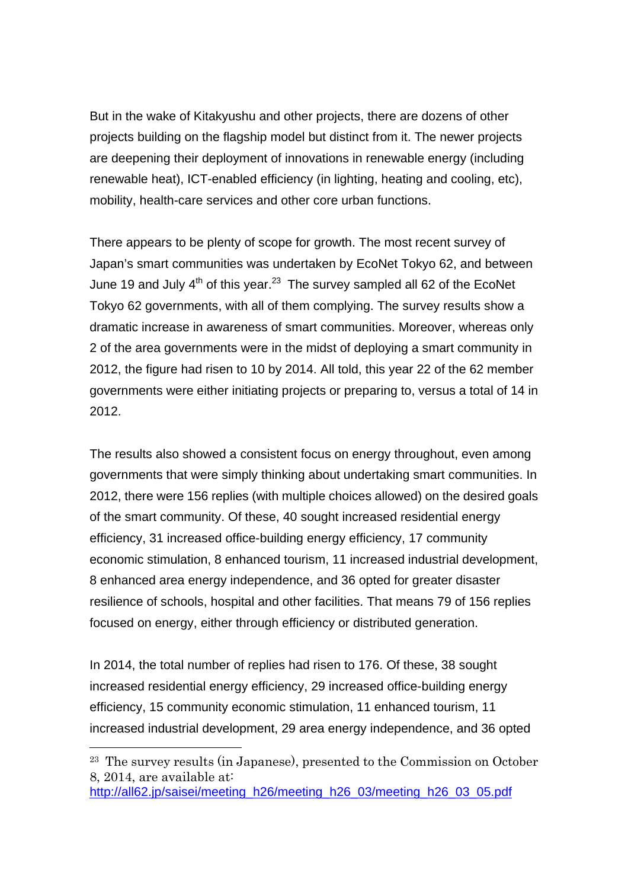But in the wake of Kitakyushu and other projects, there are dozens of other projects building on the flagship model but distinct from it. The newer projects are deepening their deployment of innovations in renewable energy (including renewable heat), ICT-enabled efficiency (in lighting, heating and cooling, etc), mobility, health-care services and other core urban functions.

There appears to be plenty of scope for growth. The most recent survey of Japan's smart communities was undertaken by EcoNet Tokyo 62, and between June 19 and July  $4<sup>th</sup>$  of this year.<sup>23</sup> The survey sampled all 62 of the EcoNet Tokyo 62 governments, with all of them complying. The survey results show a dramatic increase in awareness of smart communities. Moreover, whereas only 2 of the area governments were in the midst of deploying a smart community in 2012, the figure had risen to 10 by 2014. All told, this year 22 of the 62 member governments were either initiating projects or preparing to, versus a total of 14 in 2012.

The results also showed a consistent focus on energy throughout, even among governments that were simply thinking about undertaking smart communities. In 2012, there were 156 replies (with multiple choices allowed) on the desired goals of the smart community. Of these, 40 sought increased residential energy efficiency, 31 increased office-building energy efficiency, 17 community economic stimulation, 8 enhanced tourism, 11 increased industrial development, 8 enhanced area energy independence, and 36 opted for greater disaster resilience of schools, hospital and other facilities. That means 79 of 156 replies focused on energy, either through efficiency or distributed generation.

In 2014, the total number of replies had risen to 176. Of these, 38 sought increased residential energy efficiency, 29 increased office-building energy efficiency, 15 community economic stimulation, 11 enhanced tourism, 11 increased industrial development, 29 area energy independence, and 36 opted

 <sup>23</sup> The survey results (in Japanese), presented to the Commission on October 8, 2014, are available at:

http://all62.jp/saisei/meeting\_h26/meeting\_h26\_03/meeting\_h26\_03\_05.pdf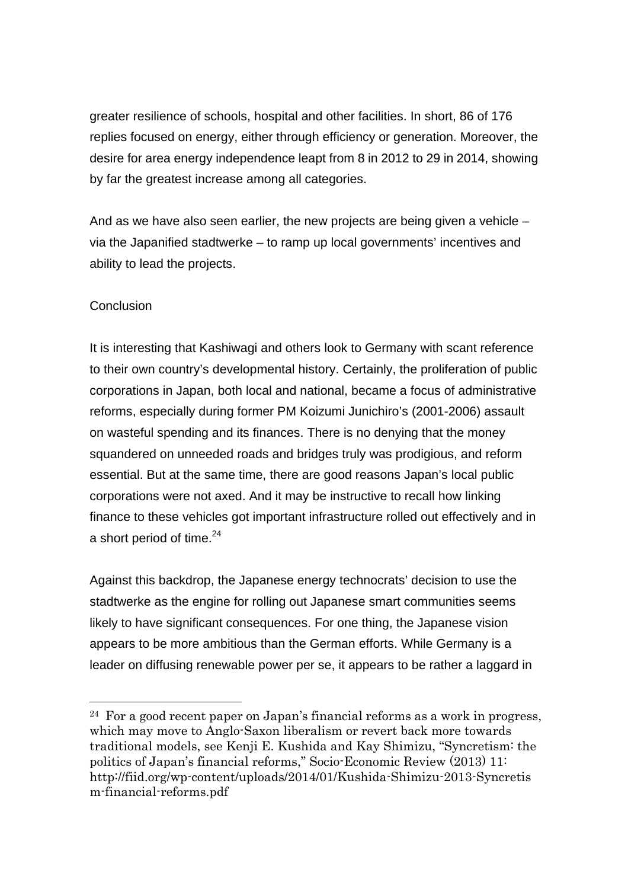greater resilience of schools, hospital and other facilities. In short, 86 of 176 replies focused on energy, either through efficiency or generation. Moreover, the desire for area energy independence leapt from 8 in 2012 to 29 in 2014, showing by far the greatest increase among all categories.

And as we have also seen earlier, the new projects are being given a vehicle – via the Japanified stadtwerke – to ramp up local governments' incentives and ability to lead the projects.

## **Conclusion**

It is interesting that Kashiwagi and others look to Germany with scant reference to their own country's developmental history. Certainly, the proliferation of public corporations in Japan, both local and national, became a focus of administrative reforms, especially during former PM Koizumi Junichiro's (2001-2006) assault on wasteful spending and its finances. There is no denying that the money squandered on unneeded roads and bridges truly was prodigious, and reform essential. But at the same time, there are good reasons Japan's local public corporations were not axed. And it may be instructive to recall how linking finance to these vehicles got important infrastructure rolled out effectively and in a short period of time.<sup>24</sup>

Against this backdrop, the Japanese energy technocrats' decision to use the stadtwerke as the engine for rolling out Japanese smart communities seems likely to have significant consequences. For one thing, the Japanese vision appears to be more ambitious than the German efforts. While Germany is a leader on diffusing renewable power per se, it appears to be rather a laggard in

 <sup>24</sup> For a good recent paper on Japan's financial reforms as a work in progress, which may move to Anglo-Saxon liberalism or revert back more towards traditional models, see Kenji E. Kushida and Kay Shimizu, "Syncretism: the politics of Japan's financial reforms," Socio-Economic Review (2013) 11: http://fiid.org/wp-content/uploads/2014/01/Kushida-Shimizu-2013-Syncretis m-financial-reforms.pdf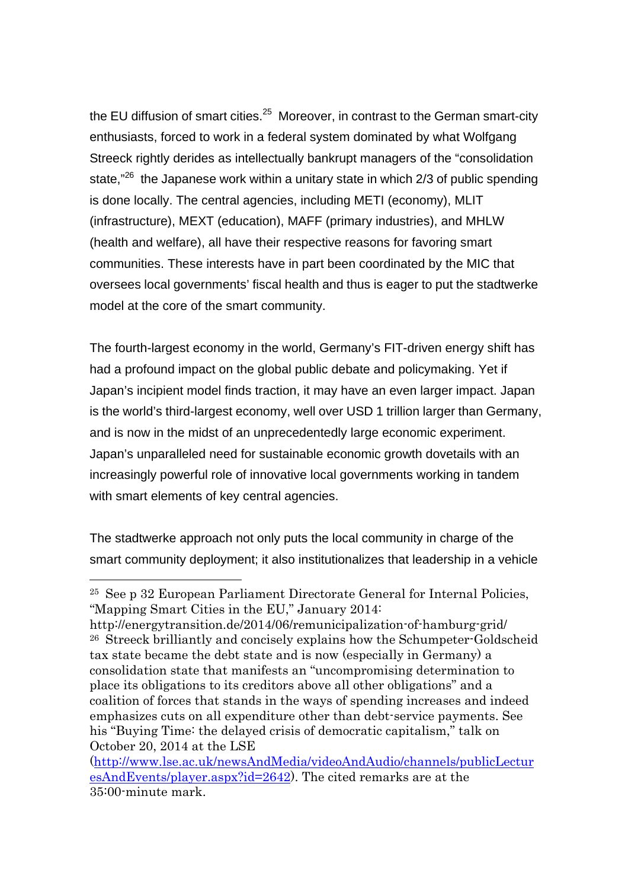the EU diffusion of smart cities. $25$  Moreover, in contrast to the German smart-city enthusiasts, forced to work in a federal system dominated by what Wolfgang Streeck rightly derides as intellectually bankrupt managers of the "consolidation state," $^{26}$  the Japanese work within a unitary state in which 2/3 of public spending is done locally. The central agencies, including METI (economy), MLIT (infrastructure), MEXT (education), MAFF (primary industries), and MHLW (health and welfare), all have their respective reasons for favoring smart communities. These interests have in part been coordinated by the MIC that oversees local governments' fiscal health and thus is eager to put the stadtwerke model at the core of the smart community.

The fourth-largest economy in the world, Germany's FIT-driven energy shift has had a profound impact on the global public debate and policymaking. Yet if Japan's incipient model finds traction, it may have an even larger impact. Japan is the world's third-largest economy, well over USD 1 trillion larger than Germany, and is now in the midst of an unprecedentedly large economic experiment. Japan's unparalleled need for sustainable economic growth dovetails with an increasingly powerful role of innovative local governments working in tandem with smart elements of key central agencies.

The stadtwerke approach not only puts the local community in charge of the smart community deployment; it also institutionalizes that leadership in a vehicle

 <sup>25</sup> See p 32 European Parliament Directorate General for Internal Policies, "Mapping Smart Cities in the EU," January 2014:

http://energytransition.de/2014/06/remunicipalization-of-hamburg-grid/ <sup>26</sup> Streeck brilliantly and concisely explains how the Schumpeter-Goldscheid tax state became the debt state and is now (especially in Germany) a consolidation state that manifests an "uncompromising determination to place its obligations to its creditors above all other obligations" and a coalition of forces that stands in the ways of spending increases and indeed emphasizes cuts on all expenditure other than debt-service payments. See his "Buying Time: the delayed crisis of democratic capitalism," talk on October 20, 2014 at the LSE

<sup>(</sup>http://www.lse.ac.uk/newsAndMedia/videoAndAudio/channels/publicLectur esAndEvents/player.aspx?id=2642). The cited remarks are at the 35:00-minute mark.